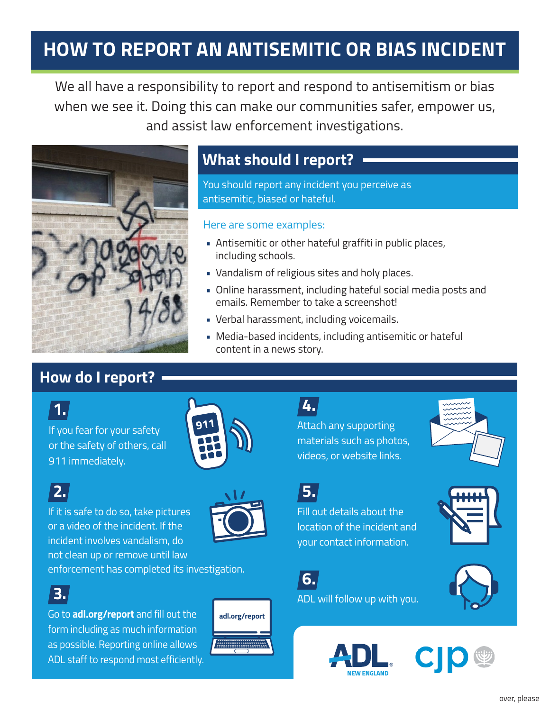## **HOW TO REPORT AN ANTISEMITIC OR BIAS INCIDENT**

We all have a responsibility to report and respond to antisemitism or bias when we see it. Doing this can make our communities safer, empower us, and assist law enforcement investigations.



### **What should I report?**

You should report any incident you perceive as antisemitic, biased or hateful.

#### Here are some examples:

- Antisemitic or other hateful graffiti in public places, including schools.
- Vandalism of religious sites and holy places.
- Online harassment, including hateful social media posts and emails. Remember to take a screenshot!
- Verbal harassment, including voicemails.
- Media-based incidents, including antisemitic or hateful content in a news story.

#### **How do I report?**



If you fear for your safety or the safety of others, call 911 immediately.

# **2.**

If it is safe to do so, take pictures or a video of the incident. If the incident involves vandalism, do not clean up or remove until law





enforcement has completed its investigation.

### **3.**

Go to **adl.org/report** and fill out the **adl.org/report** form including as much information as possible. Reporting online allows ADL staff to respond most efficiently.



Attach any supporting materials such as photos, videos, or website links. **4.**



**5.**

Fill out details about the location of the incident and your contact information.



ADL will follow up with you.